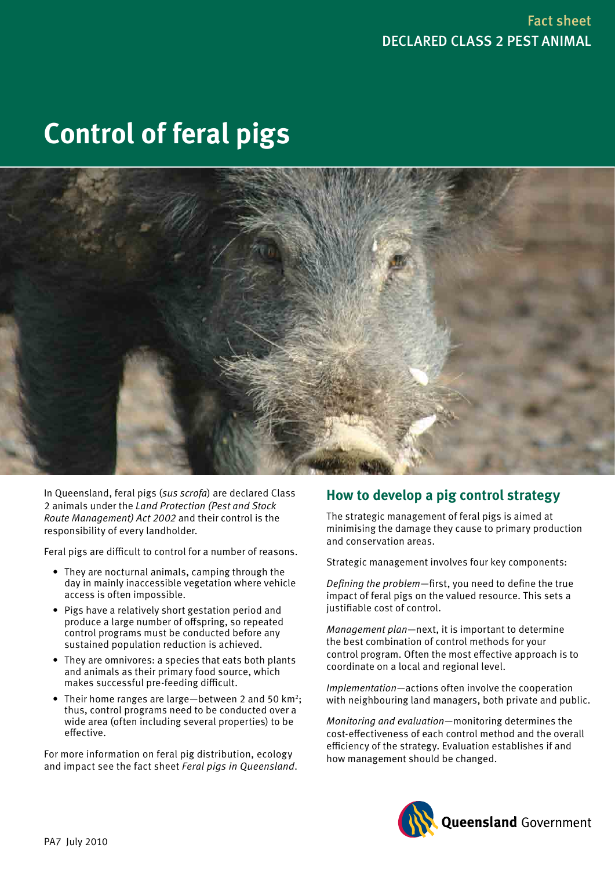# **Control of feral pigs**



In Queensland, feral pigs (*sus scrofa*) are declared Class 2 animals under the *Land Protection (Pest and Stock Route Management) Act 2002* and their control is the responsibility of every landholder.

Feral pigs are difficult to control for a number of reasons.

- They are nocturnal animals, camping through the day in mainly inaccessible vegetation where vehicle access is often impossible.
- Pigs have a relatively short gestation period and produce a large number of offspring, so repeated control programs must be conducted before any sustained population reduction is achieved.
- They are omnivores: a species that eats both plants and animals as their primary food source, which makes successful pre-feeding difficult.
- Their home ranges are large—between 2 and 50  $km^2$ ; thus, control programs need to be conducted over a wide area (often including several properties) to be effective.

For more information on feral pig distribution, ecology and impact see the fact sheet *Feral pigs in Queensland*.

# **How to develop a pig control strategy**

The strategic management of feral pigs is aimed at minimising the damage they cause to primary production and conservation areas.

Strategic management involves four key components:

*Defining the problem*—first, you need to define the true impact of feral pigs on the valued resource. This sets a justifiable cost of control.

*Management plan*—next, it is important to determine the best combination of control methods for your control program. Often the most effective approach is to coordinate on a local and regional level.

*Implementation*—actions often involve the cooperation with neighbouring land managers, both private and public.

*Monitoring and evaluation*—monitoring determines the cost-effectiveness of each control method and the overall efficiency of the strategy. Evaluation establishes if and how management should be changed.

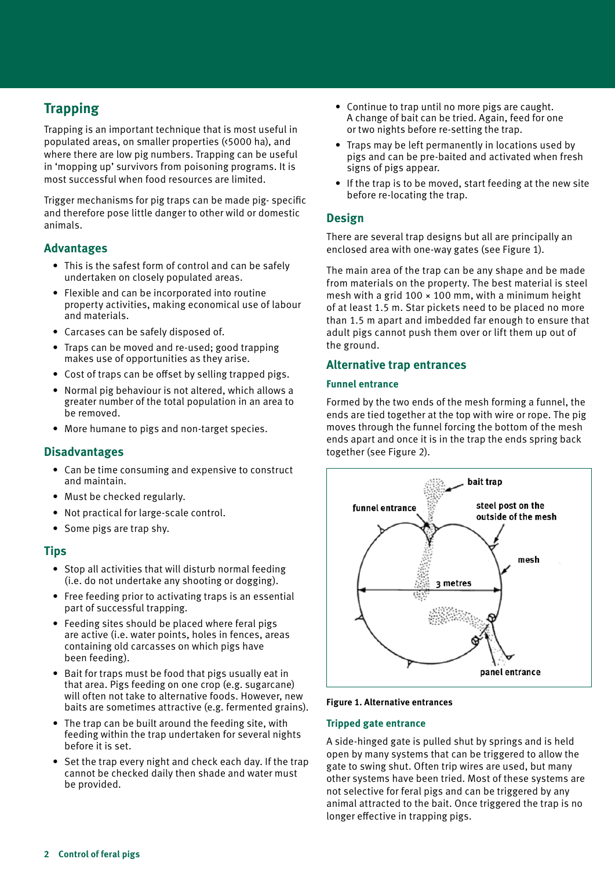# **Trapping**

Trapping is an important technique that is most useful in populated areas, on smaller properties (<5000 ha), and where there are low pig numbers. Trapping can be useful in 'mopping up' survivors from poisoning programs. It is most successful when food resources are limited.

Trigger mechanisms for pig traps can be made pig- specific and therefore pose little danger to other wild or domestic animals.

## **Advantages**

- This is the safest form of control and can be safely undertaken on closely populated areas.
- • Flexible and can be incorporated into routine property activities, making economical use of labour and materials.
- Carcases can be safely disposed of.
- Traps can be moved and re-used; good trapping makes use of opportunities as they arise.
- Cost of traps can be offset by selling trapped pigs.
- Normal pig behaviour is not altered, which allows a greater number of the total population in an area to be removed.
- More humane to pigs and non-target species.

## **Disadvantages**

- Can be time consuming and expensive to construct and maintain.
- Must be checked regularly.
- • Not practical for large-scale control.
- Some pigs are trap shy.

## **Tips**

- Stop all activities that will disturb normal feeding (i.e. do not undertake any shooting or dogging).
- Free feeding prior to activating traps is an essential part of successful trapping.
- Feeding sites should be placed where feral pigs are active (i.e. water points, holes in fences, areas containing old carcasses on which pigs have been feeding).
- Bait for traps must be food that pigs usually eat in that area. Pigs feeding on one crop (e.g. sugarcane) will often not take to alternative foods. However, new baits are sometimes attractive (e.g. fermented grains).
- The trap can be built around the feeding site, with feeding within the trap undertaken for several nights before it is set.
- Set the trap every night and check each day. If the trap cannot be checked daily then shade and water must be provided.
- Continue to trap until no more pigs are caught. A change of bait can be tried. Again, feed for one or two nights before re-setting the trap.
- Traps may be left permanently in locations used by pigs and can be pre-baited and activated when fresh signs of pigs appear.
- If the trap is to be moved, start feeding at the new site before re-locating the trap.

## **Design**

There are several trap designs but all are principally an enclosed area with one-way gates (see Figure 1).

The main area of the trap can be any shape and be made from materials on the property. The best material is steel mesh with a grid  $100 \times 100$  mm, with a minimum height of at least 1.5 m. Star pickets need to be placed no more than 1.5 m apart and imbedded far enough to ensure that adult pigs cannot push them over or lift them up out of the ground.

## **Alternative trap entrances**

#### **Funnel entrance**

Formed by the two ends of the mesh forming a funnel, the ends are tied together at the top with wire or rope. The pig moves through the funnel forcing the bottom of the mesh ends apart and once it is in the trap the ends spring back together (see Figure 2).



#### **Figure 1. Alternative entrances**

#### **Tripped gate entrance**

A side-hinged gate is pulled shut by springs and is held open by many systems that can be triggered to allow the gate to swing shut. Often trip wires are used, but many other systems have been tried. Most of these systems are not selective for feral pigs and can be triggered by any animal attracted to the bait. Once triggered the trap is no longer effective in trapping pigs.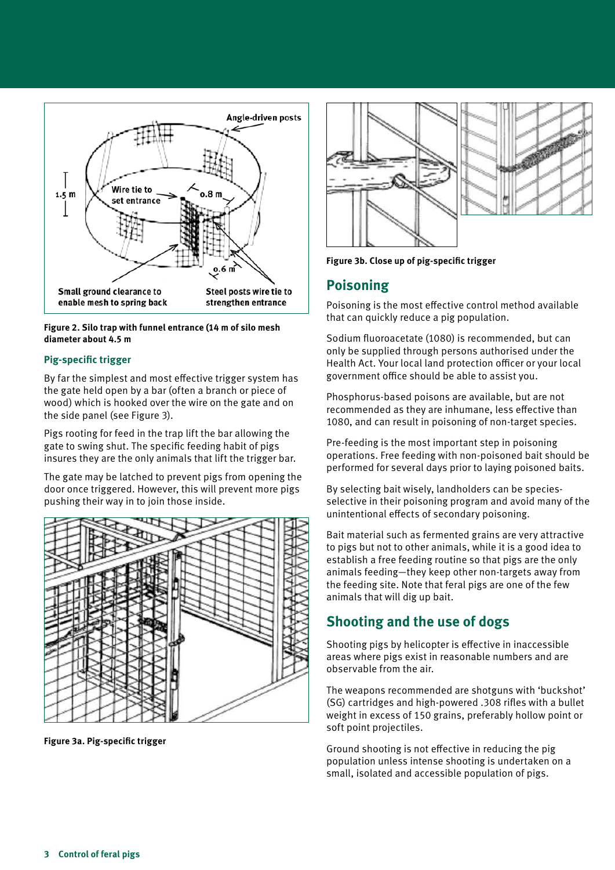

**Figure 2. Silo trap with funnel entrance (14 m of silo mesh diameter about 4.5 m**

#### **Pig-specific trigger**

By far the simplest and most effective trigger system has the gate held open by a bar (often a branch or piece of wood) which is hooked over the wire on the gate and on the side panel (see Figure 3).

Pigs rooting for feed in the trap lift the bar allowing the gate to swing shut. The specific feeding habit of pigs insures they are the only animals that lift the trigger bar.

The gate may be latched to prevent pigs from opening the door once triggered. However, this will prevent more pigs pushing their way in to join those inside.



**Figure 3a. Pig-specific trigger**



**Figure 3b. Close up of pig-specific trigger**

## **Poisoning**

Poisoning is the most effective control method available that can quickly reduce a pig population.

Sodium fluoroacetate (1080) is recommended, but can only be supplied through persons authorised under the Health Act. Your local land protection officer or your local government office should be able to assist you.

Phosphorus-based poisons are available, but are not recommended as they are inhumane, less effective than 1080, and can result in poisoning of non-target species.

Pre-feeding is the most important step in poisoning operations. Free feeding with non-poisoned bait should be performed for several days prior to laying poisoned baits.

By selecting bait wisely, landholders can be speciesselective in their poisoning program and avoid many of the unintentional effects of secondary poisoning.

Bait material such as fermented grains are very attractive to pigs but not to other animals, while it is a good idea to establish a free feeding routine so that pigs are the only animals feeding—they keep other non-targets away from the feeding site. Note that feral pigs are one of the few animals that will dig up bait.

# **Shooting and the use of dogs**

Shooting pigs by helicopter is effective in inaccessible areas where pigs exist in reasonable numbers and are observable from the air.

The weapons recommended are shotguns with 'buckshot' (SG) cartridges and high-powered .308 rifles with a bullet weight in excess of 150 grains, preferably hollow point or soft point projectiles.

Ground shooting is not effective in reducing the pig population unless intense shooting is undertaken on a small, isolated and accessible population of pigs.